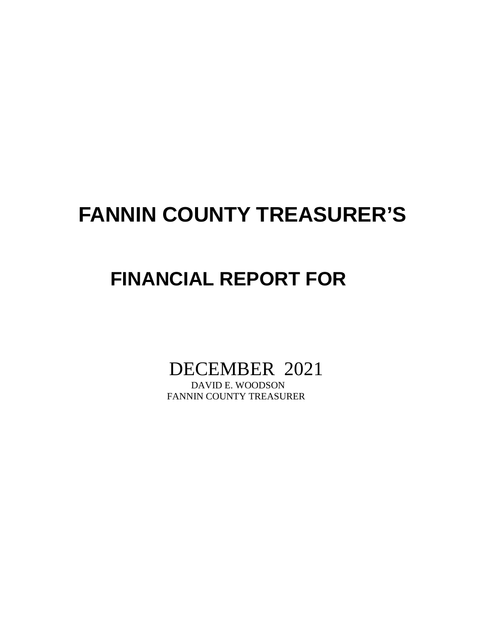# **FANNIN COUNTY TREASURER'S**

## **FINANCIAL REPORT FOR**

DECEMBER 2021

FANNIN COUNTY TREASURER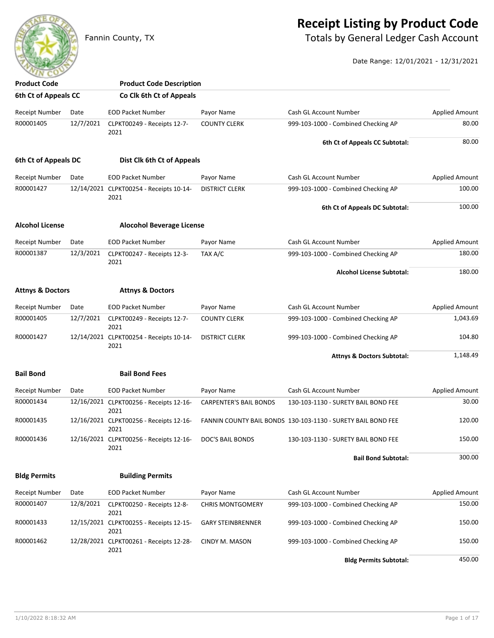### **Receipt Listing by Product Code**

Fannin County, TX **Fannin County, TX** Totals by General Ledger Cash Account

Date Range: 12/01/2021 - 12/31/2021

| <b>Product Code</b>         |           | <b>Product Code Description</b>                 |                               |                                                              |                       |
|-----------------------------|-----------|-------------------------------------------------|-------------------------------|--------------------------------------------------------------|-----------------------|
| 6th Ct of Appeals CC        |           | Co Clk 6th Ct of Appeals                        |                               |                                                              |                       |
| Receipt Number              | Date      | <b>EOD Packet Number</b>                        | Payor Name                    | Cash GL Account Number                                       | <b>Applied Amount</b> |
| R00001405                   | 12/7/2021 | CLPKT00249 - Receipts 12-7-<br>2021             | <b>COUNTY CLERK</b>           | 999-103-1000 - Combined Checking AP                          | 80.00                 |
|                             |           |                                                 |                               | 6th Ct of Appeals CC Subtotal:                               | 80.00                 |
| 6th Ct of Appeals DC        |           | Dist Clk 6th Ct of Appeals                      |                               |                                                              |                       |
| Receipt Number              | Date      | <b>EOD Packet Number</b>                        | Payor Name                    | Cash GL Account Number                                       | <b>Applied Amount</b> |
| R00001427                   |           | 12/14/2021 CLPKT00254 - Receipts 10-14-<br>2021 | <b>DISTRICT CLERK</b>         | 999-103-1000 - Combined Checking AP                          | 100.00                |
|                             |           |                                                 |                               | 6th Ct of Appeals DC Subtotal:                               | 100.00                |
| <b>Alcohol License</b>      |           | <b>Alocohol Beverage License</b>                |                               |                                                              |                       |
| <b>Receipt Number</b>       | Date      | <b>EOD Packet Number</b>                        | Payor Name                    | Cash GL Account Number                                       | <b>Applied Amount</b> |
| R00001387                   | 12/3/2021 | CLPKT00247 - Receipts 12-3-<br>2021             | TAX A/C                       | 999-103-1000 - Combined Checking AP                          | 180.00                |
|                             |           |                                                 |                               | <b>Alcohol License Subtotal:</b>                             | 180.00                |
| <b>Attnys &amp; Doctors</b> |           | <b>Attnys &amp; Doctors</b>                     |                               |                                                              |                       |
| <b>Receipt Number</b>       | Date      | <b>EOD Packet Number</b>                        | Payor Name                    | Cash GL Account Number                                       | <b>Applied Amount</b> |
| R00001405                   | 12/7/2021 | CLPKT00249 - Receipts 12-7-<br>2021             | <b>COUNTY CLERK</b>           | 999-103-1000 - Combined Checking AP                          | 1,043.69              |
| R00001427                   |           | 12/14/2021 CLPKT00254 - Receipts 10-14-<br>2021 | <b>DISTRICT CLERK</b>         | 999-103-1000 - Combined Checking AP                          | 104.80                |
|                             |           |                                                 |                               | <b>Attnys &amp; Doctors Subtotal:</b>                        | 1,148.49              |
| <b>Bail Bond</b>            |           | <b>Bail Bond Fees</b>                           |                               |                                                              |                       |
| Receipt Number              | Date      | <b>EOD Packet Number</b>                        | Payor Name                    | Cash GL Account Number                                       | <b>Applied Amount</b> |
| R00001434                   |           | 12/16/2021 CLPKT00256 - Receipts 12-16-<br>2021 | <b>CARPENTER'S BAIL BONDS</b> | 130-103-1130 - SURETY BAIL BOND FEE                          | 30.00                 |
| R00001435                   |           | 12/16/2021 CLPKT00256 - Receipts 12-16-<br>2021 |                               | FANNIN COUNTY BAIL BONDS 130-103-1130 - SURETY BAIL BOND FEE | 120.00                |
| R00001436                   |           | 12/16/2021 CLPKT00256 - Receipts 12-16-<br>2021 | DOC'S BAIL BONDS              | 130-103-1130 - SURETY BAIL BOND FEE                          | 150.00                |
|                             |           |                                                 |                               | <b>Bail Bond Subtotal:</b>                                   | 300.00                |
| <b>Bldg Permits</b>         |           | <b>Building Permits</b>                         |                               |                                                              |                       |
| <b>Receipt Number</b>       | Date      | <b>EOD Packet Number</b>                        | Payor Name                    | Cash GL Account Number                                       | <b>Applied Amount</b> |
| R00001407                   | 12/8/2021 | CLPKT00250 - Receipts 12-8-<br>2021             | <b>CHRIS MONTGOMERY</b>       | 999-103-1000 - Combined Checking AP                          | 150.00                |
| R00001433                   |           | 12/15/2021 CLPKT00255 - Receipts 12-15-<br>2021 | <b>GARY STEINBRENNER</b>      | 999-103-1000 - Combined Checking AP                          | 150.00                |
| R00001462                   |           | 12/28/2021 CLPKT00261 - Receipts 12-28-<br>2021 | CINDY M. MASON                | 999-103-1000 - Combined Checking AP                          | 150.00                |
|                             |           |                                                 |                               | <b>Bldg Permits Subtotal:</b>                                | 450.00                |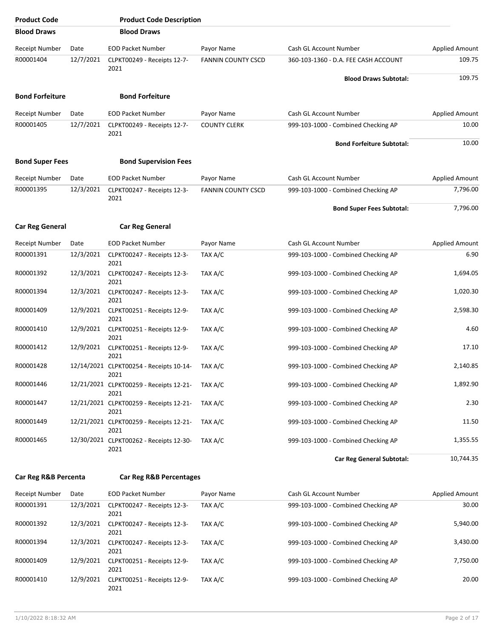| <b>Product Code</b>    |           | <b>Product Code Description</b>                 |                           |                                      |                       |
|------------------------|-----------|-------------------------------------------------|---------------------------|--------------------------------------|-----------------------|
| <b>Blood Draws</b>     |           | <b>Blood Draws</b>                              |                           |                                      |                       |
| <b>Receipt Number</b>  | Date      | <b>EOD Packet Number</b>                        | Payor Name                | Cash GL Account Number               | <b>Applied Amount</b> |
| R00001404              | 12/7/2021 | CLPKT00249 - Receipts 12-7-<br>2021             | <b>FANNIN COUNTY CSCD</b> | 360-103-1360 - D.A. FEE CASH ACCOUNT | 109.75                |
|                        |           |                                                 |                           | <b>Blood Draws Subtotal:</b>         | 109.75                |
| <b>Bond Forfeiture</b> |           | <b>Bond Forfeiture</b>                          |                           |                                      |                       |
| <b>Receipt Number</b>  | Date      | <b>EOD Packet Number</b>                        | Payor Name                | Cash GL Account Number               | <b>Applied Amount</b> |
| R00001405              | 12/7/2021 | CLPKT00249 - Receipts 12-7-<br>2021             | <b>COUNTY CLERK</b>       | 999-103-1000 - Combined Checking AP  | 10.00                 |
|                        |           |                                                 |                           | <b>Bond Forfeiture Subtotal:</b>     | 10.00                 |
| <b>Bond Super Fees</b> |           | <b>Bond Supervision Fees</b>                    |                           |                                      |                       |
| <b>Receipt Number</b>  | Date      | <b>EOD Packet Number</b>                        | Payor Name                | Cash GL Account Number               | <b>Applied Amount</b> |
| R00001395              | 12/3/2021 | CLPKT00247 - Receipts 12-3-                     | <b>FANNIN COUNTY CSCD</b> | 999-103-1000 - Combined Checking AP  | 7,796.00              |
|                        |           | 2021                                            |                           | <b>Bond Super Fees Subtotal:</b>     | 7,796.00              |
| <b>Car Reg General</b> |           | <b>Car Reg General</b>                          |                           |                                      |                       |
| <b>Receipt Number</b>  | Date      | <b>EOD Packet Number</b>                        | Payor Name                | Cash GL Account Number               | <b>Applied Amount</b> |
| R00001391              | 12/3/2021 | CLPKT00247 - Receipts 12-3-                     | TAX A/C                   | 999-103-1000 - Combined Checking AP  | 6.90                  |
| R00001392              | 12/3/2021 | 2021<br>CLPKT00247 - Receipts 12-3-             | TAX A/C                   | 999-103-1000 - Combined Checking AP  | 1,694.05              |
|                        |           | 2021                                            |                           |                                      |                       |
| R00001394              | 12/3/2021 | CLPKT00247 - Receipts 12-3-<br>2021             | TAX A/C                   | 999-103-1000 - Combined Checking AP  | 1,020.30              |
| R00001409              | 12/9/2021 | CLPKT00251 - Receipts 12-9-<br>2021             | TAX A/C                   | 999-103-1000 - Combined Checking AP  | 2,598.30              |
| R00001410              | 12/9/2021 | CLPKT00251 - Receipts 12-9-<br>2021             | TAX A/C                   | 999-103-1000 - Combined Checking AP  | 4.60                  |
| R00001412              | 12/9/2021 | CLPKT00251 - Receipts 12-9-                     | TAX A/C                   | 999-103-1000 - Combined Checking AP  | 17.10                 |
| R00001428              |           | 2021<br>12/14/2021 CLPKT00254 - Receipts 10-14- | TAX A/C                   | 999-103-1000 - Combined Checking AP  | 2,140.85              |
| R00001446              |           | 2021                                            | TAX A/C                   |                                      | 1,892.90              |
|                        |           | 12/21/2021 CLPKT00259 - Receipts 12-21-<br>2021 |                           | 999-103-1000 - Combined Checking AP  |                       |
| R00001447              |           | 12/21/2021 CLPKT00259 - Receipts 12-21-<br>2021 | TAX A/C                   | 999-103-1000 - Combined Checking AP  | 2.30                  |
| R00001449              |           | 12/21/2021 CLPKT00259 - Receipts 12-21-<br>2021 | TAX A/C                   | 999-103-1000 - Combined Checking AP  | 11.50                 |
| R00001465              |           | 12/30/2021 CLPKT00262 - Receipts 12-30-         | TAX A/C                   | 999-103-1000 - Combined Checking AP  | 1,355.55              |
|                        |           | 2021                                            |                           | <b>Car Reg General Subtotal:</b>     | 10,744.35             |
| Car Reg R&B Percenta   |           | <b>Car Reg R&amp;B Percentages</b>              |                           |                                      |                       |
| <b>Receipt Number</b>  | Date      | <b>EOD Packet Number</b>                        | Payor Name                | Cash GL Account Number               | <b>Applied Amount</b> |
| R00001391              | 12/3/2021 | CLPKT00247 - Receipts 12-3-                     | TAX A/C                   | 999-103-1000 - Combined Checking AP  | 30.00                 |
| R00001392              | 12/3/2021 | 2021<br>CLPKT00247 - Receipts 12-3-<br>2021     | TAX A/C                   | 999-103-1000 - Combined Checking AP  | 5,940.00              |

R00001394 12/3/2021 CLPKT00247 - Receipts 12-3- TAX A/C 999-103-1000 - Combined Checking AP 3,430.00

R00001409 12/9/2021 CLPKT00251 - Receipts 12-9- TAX A/C 999-103-1000 - Combined Checking AP 7,750.00

R00001410 12/9/2021 CLPKT00251 - Receipts 12-9- TAX A/C 999-103-1000 - Combined Checking AP 20.00

TAX A/C

TAX A/C

TAX A/C

2021

2021

2021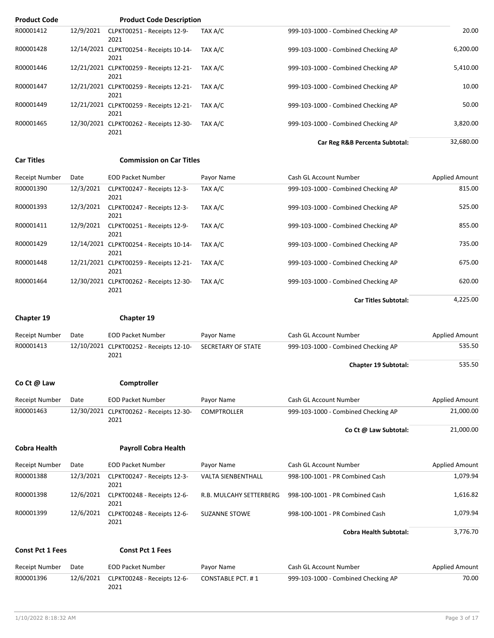| <b>Product Code</b> |           | <b>Product Code Description</b>                 |         |                                     |           |
|---------------------|-----------|-------------------------------------------------|---------|-------------------------------------|-----------|
| R00001412           | 12/9/2021 | CLPKT00251 - Receipts 12-9-<br>2021             | TAX A/C | 999-103-1000 - Combined Checking AP | 20.00     |
| R00001428           |           | 12/14/2021 CLPKT00254 - Receipts 10-14-<br>2021 | TAX A/C | 999-103-1000 - Combined Checking AP | 6,200.00  |
| R00001446           |           | 12/21/2021 CLPKT00259 - Receipts 12-21-<br>2021 | TAX A/C | 999-103-1000 - Combined Checking AP | 5,410.00  |
| R00001447           |           | 12/21/2021 CLPKT00259 - Receipts 12-21-<br>2021 | TAX A/C | 999-103-1000 - Combined Checking AP | 10.00     |
| R00001449           |           | 12/21/2021 CLPKT00259 - Receipts 12-21-<br>2021 | TAX A/C | 999-103-1000 - Combined Checking AP | 50.00     |
| R00001465           |           | 12/30/2021 CLPKT00262 - Receipts 12-30-<br>2021 | TAX A/C | 999-103-1000 - Combined Checking AP | 3,820.00  |
|                     |           |                                                 |         | Car Reg R&B Percenta Subtotal:      | 32,680.00 |

**Car Titles Commission on Car Titles**

| Receipt Number | Date      | <b>EOD Packet Number</b>                        | Payor Name | Cash GL Account Number              | <b>Applied Amount</b> |
|----------------|-----------|-------------------------------------------------|------------|-------------------------------------|-----------------------|
| R00001390      | 12/3/2021 | CLPKT00247 - Receipts 12-3-<br>2021             | TAX A/C    | 999-103-1000 - Combined Checking AP | 815.00                |
| R00001393      | 12/3/2021 | CLPKT00247 - Receipts 12-3-<br>2021             | TAX A/C    | 999-103-1000 - Combined Checking AP | 525.00                |
| R00001411      | 12/9/2021 | CLPKT00251 - Receipts 12-9-<br>2021             | TAX A/C    | 999-103-1000 - Combined Checking AP | 855.00                |
| R00001429      |           | 12/14/2021 CLPKT00254 - Receipts 10-14-<br>2021 | TAX A/C    | 999-103-1000 - Combined Checking AP | 735.00                |
| R00001448      |           | 12/21/2021 CLPKT00259 - Receipts 12-21-<br>2021 | TAX A/C    | 999-103-1000 - Combined Checking AP | 675.00                |
| R00001464      |           | 12/30/2021 CLPKT00262 - Receipts 12-30-<br>2021 | TAX A/C    | 999-103-1000 - Combined Checking AP | 620.00                |

**Car Titles Subtotal:** 4,225.00

### **Chapter 19 Chapter 19**

| R00001396               | 12/6/2021 | CLPKT00248 - Receipts 12-6-                     | <b>CONSTABLE PCT. #1</b>  | 999-103-1000 - Combined Checking AP | 70.00                 |
|-------------------------|-----------|-------------------------------------------------|---------------------------|-------------------------------------|-----------------------|
| Receipt Number          | Date      | <b>EOD Packet Number</b>                        | Payor Name                | Cash GL Account Number              | <b>Applied Amount</b> |
| <b>Const Pct 1 Fees</b> |           | <b>Const Pct 1 Fees</b>                         |                           |                                     |                       |
|                         |           |                                                 |                           | <b>Cobra Health Subtotal:</b>       | 3,776.70              |
| R00001399               | 12/6/2021 | CLPKT00248 - Receipts 12-6-<br>2021             | <b>SUZANNE STOWE</b>      | 998-100-1001 - PR Combined Cash     | 1,079.94              |
|                         |           | 2021                                            |                           |                                     |                       |
| R00001398               | 12/6/2021 | CLPKT00248 - Receipts 12-6-                     | R.B. MULCAHY SETTERBERG   | 998-100-1001 - PR Combined Cash     | 1,616.82              |
| R00001388               | 12/3/2021 | CLPKT00247 - Receipts 12-3-<br>2021             | <b>VALTA SIENBENTHALL</b> | 998-100-1001 - PR Combined Cash     | 1,079.94              |
| <b>Receipt Number</b>   | Date      | <b>EOD Packet Number</b>                        | Payor Name                | Cash GL Account Number              | <b>Applied Amount</b> |
| <b>Cobra Health</b>     |           | <b>Payroll Cobra Health</b>                     |                           |                                     |                       |
|                         |           |                                                 |                           | Co Ct @ Law Subtotal:               | 21,000.00             |
| R00001463               |           | 12/30/2021 CLPKT00262 - Receipts 12-30-<br>2021 | <b>COMPTROLLER</b>        | 999-103-1000 - Combined Checking AP | 21,000.00             |
| <b>Receipt Number</b>   | Date      | <b>EOD Packet Number</b>                        | Payor Name                | Cash GL Account Number              | <b>Applied Amount</b> |
| Co Ct @ Law             |           | Comptroller                                     |                           |                                     |                       |
|                         |           |                                                 |                           |                                     |                       |
|                         |           | 2021                                            |                           | <b>Chapter 19 Subtotal:</b>         | 535.50                |
| R00001413               |           | 12/10/2021 CLPKT00252 - Receipts 12-10-         | <b>SECRETARY OF STATE</b> | 999-103-1000 - Combined Checking AP | 535.50                |
| <b>Receipt Number</b>   | Date      | <b>EOD Packet Number</b>                        | Payor Name                | Cash GL Account Number              | <b>Applied Amount</b> |

2021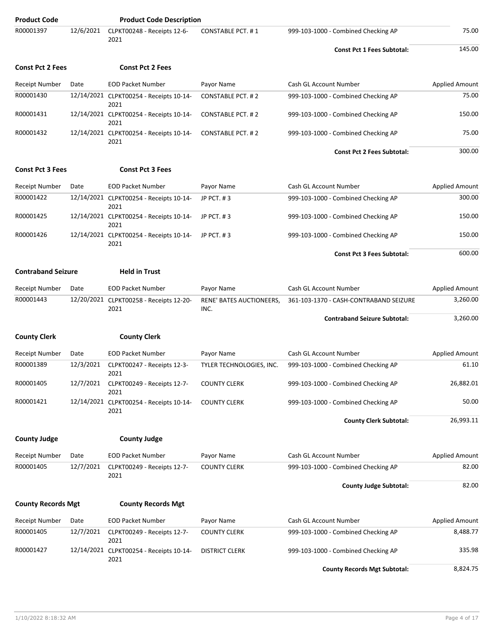| <b>Product Code</b>       |           | <b>Product Code Description</b>                 |                                  |                                        |                       |
|---------------------------|-----------|-------------------------------------------------|----------------------------------|----------------------------------------|-----------------------|
| R00001397                 | 12/6/2021 | CLPKT00248 - Receipts 12-6-<br>2021             | <b>CONSTABLE PCT. #1</b>         | 999-103-1000 - Combined Checking AP    | 75.00                 |
|                           |           |                                                 |                                  | <b>Const Pct 1 Fees Subtotal:</b>      | 145.00                |
| <b>Const Pct 2 Fees</b>   |           | <b>Const Pct 2 Fees</b>                         |                                  |                                        |                       |
| <b>Receipt Number</b>     | Date      | <b>EOD Packet Number</b>                        | Payor Name                       | Cash GL Account Number                 | <b>Applied Amount</b> |
| R00001430                 |           | 12/14/2021 CLPKT00254 - Receipts 10-14-<br>2021 | <b>CONSTABLE PCT. #2</b>         | 999-103-1000 - Combined Checking AP    | 75.00                 |
| R00001431                 |           | 12/14/2021 CLPKT00254 - Receipts 10-14-<br>2021 | CONSTABLE PCT. #2                | 999-103-1000 - Combined Checking AP    | 150.00                |
| R00001432                 |           | 12/14/2021 CLPKT00254 - Receipts 10-14-<br>2021 | <b>CONSTABLE PCT. #2</b>         | 999-103-1000 - Combined Checking AP    | 75.00                 |
|                           |           |                                                 |                                  | <b>Const Pct 2 Fees Subtotal:</b>      | 300.00                |
| <b>Const Pct 3 Fees</b>   |           | <b>Const Pct 3 Fees</b>                         |                                  |                                        |                       |
| <b>Receipt Number</b>     | Date      | <b>EOD Packet Number</b>                        | Payor Name                       | Cash GL Account Number                 | <b>Applied Amount</b> |
| R00001422                 |           | 12/14/2021 CLPKT00254 - Receipts 10-14-<br>2021 | JP PCT. #3                       | 999-103-1000 - Combined Checking AP    | 300.00                |
| R00001425                 |           | 12/14/2021 CLPKT00254 - Receipts 10-14-<br>2021 | JP PCT. #3                       | 999-103-1000 - Combined Checking AP    | 150.00                |
| R00001426                 |           | 12/14/2021 CLPKT00254 - Receipts 10-14-<br>2021 | JP PCT, #3                       | 999-103-1000 - Combined Checking AP    | 150.00                |
|                           |           |                                                 |                                  | <b>Const Pct 3 Fees Subtotal:</b>      | 600.00                |
| <b>Contraband Seizure</b> |           | <b>Held in Trust</b>                            |                                  |                                        |                       |
| <b>Receipt Number</b>     | Date      | <b>EOD Packet Number</b>                        | Payor Name                       | Cash GL Account Number                 | <b>Applied Amount</b> |
| R00001443                 |           | 12/20/2021 CLPKT00258 - Receipts 12-20-<br>2021 | RENE' BATES AUCTIONEERS,<br>INC. | 361-103-1370 - CASH-CONTRABAND SEIZURE | 3,260.00              |
|                           |           |                                                 |                                  | <b>Contraband Seizure Subtotal:</b>    | 3,260.00              |
| <b>County Clerk</b>       |           | <b>County Clerk</b>                             |                                  |                                        |                       |
| <b>Receipt Number</b>     | Date      | <b>EOD Packet Number</b>                        | Payor Name                       | Cash GL Account Number                 | <b>Applied Amount</b> |
| R00001389                 | 12/3/2021 | CLPKT00247 - Receipts 12-3-<br>2021             | TYLER TECHNOLOGIES, INC.         | 999-103-1000 - Combined Checking AP    | 61.10                 |
| R00001405                 | 12/7/2021 | CLPKT00249 - Receipts 12-7-<br>2021             | <b>COUNTY CLERK</b>              | 999-103-1000 - Combined Checking AP    | 26,882.01             |
| R00001421                 |           | 12/14/2021 CLPKT00254 - Receipts 10-14-<br>2021 | <b>COUNTY CLERK</b>              | 999-103-1000 - Combined Checking AP    | 50.00                 |
|                           |           |                                                 |                                  | <b>County Clerk Subtotal:</b>          | 26,993.11             |
| <b>County Judge</b>       |           | <b>County Judge</b>                             |                                  |                                        |                       |
| Receipt Number            | Date      | <b>EOD Packet Number</b>                        | Payor Name                       | Cash GL Account Number                 | <b>Applied Amount</b> |
| R00001405                 | 12/7/2021 | CLPKT00249 - Receipts 12-7-<br>2021             | <b>COUNTY CLERK</b>              | 999-103-1000 - Combined Checking AP    | 82.00                 |
|                           |           |                                                 |                                  | <b>County Judge Subtotal:</b>          | 82.00                 |
| <b>County Records Mgt</b> |           | <b>County Records Mgt</b>                       |                                  |                                        |                       |
| <b>Receipt Number</b>     | Date      | <b>EOD Packet Number</b>                        | Payor Name                       | Cash GL Account Number                 | <b>Applied Amount</b> |
| R00001405                 | 12/7/2021 | CLPKT00249 - Receipts 12-7-<br>2021             | <b>COUNTY CLERK</b>              | 999-103-1000 - Combined Checking AP    | 8,488.77              |
| R00001427                 |           | 12/14/2021 CLPKT00254 - Receipts 10-14-<br>2021 | <b>DISTRICT CLERK</b>            | 999-103-1000 - Combined Checking AP    | 335.98                |
|                           |           |                                                 |                                  | <b>County Records Mgt Subtotal:</b>    | 8,824.75              |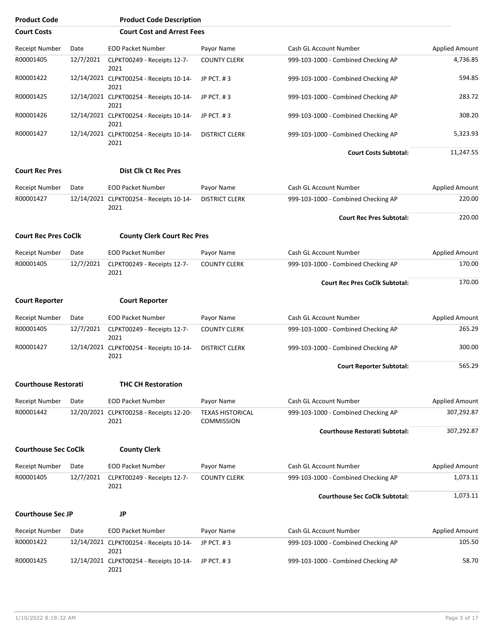| <b>Product Code</b>         |           | <b>Product Code Description</b>                 |                                              |                                       |                       |
|-----------------------------|-----------|-------------------------------------------------|----------------------------------------------|---------------------------------------|-----------------------|
| <b>Court Costs</b>          |           | <b>Court Cost and Arrest Fees</b>               |                                              |                                       |                       |
| <b>Receipt Number</b>       | Date      | <b>EOD Packet Number</b>                        | Payor Name                                   | Cash GL Account Number                | Applied Amount        |
| R00001405                   | 12/7/2021 | CLPKT00249 - Receipts 12-7-<br>2021             | <b>COUNTY CLERK</b>                          | 999-103-1000 - Combined Checking AP   | 4,736.85              |
| R00001422                   |           | 12/14/2021 CLPKT00254 - Receipts 10-14-<br>2021 | JP PCT. #3                                   | 999-103-1000 - Combined Checking AP   | 594.85                |
| R00001425                   |           | 12/14/2021 CLPKT00254 - Receipts 10-14-<br>2021 | JP PCT. #3                                   | 999-103-1000 - Combined Checking AP   | 283.72                |
| R00001426                   |           | 12/14/2021 CLPKT00254 - Receipts 10-14-<br>2021 | JP PCT. #3                                   | 999-103-1000 - Combined Checking AP   | 308.20                |
| R00001427                   |           | 12/14/2021 CLPKT00254 - Receipts 10-14-<br>2021 | <b>DISTRICT CLERK</b>                        | 999-103-1000 - Combined Checking AP   | 5,323.93              |
|                             |           |                                                 |                                              | <b>Court Costs Subtotal:</b>          | 11,247.55             |
| <b>Court Rec Pres</b>       |           | <b>Dist Clk Ct Rec Pres</b>                     |                                              |                                       |                       |
| <b>Receipt Number</b>       | Date      | <b>EOD Packet Number</b>                        | Payor Name                                   | Cash GL Account Number                | <b>Applied Amount</b> |
| R00001427                   |           | 12/14/2021 CLPKT00254 - Receipts 10-14-<br>2021 | <b>DISTRICT CLERK</b>                        | 999-103-1000 - Combined Checking AP   | 220.00                |
|                             |           |                                                 |                                              | <b>Court Rec Pres Subtotal:</b>       | 220.00                |
| <b>Court Rec Pres CoClk</b> |           | <b>County Clerk Court Rec Pres</b>              |                                              |                                       |                       |
| <b>Receipt Number</b>       | Date      | <b>EOD Packet Number</b>                        | Payor Name                                   | Cash GL Account Number                | <b>Applied Amount</b> |
| R00001405                   | 12/7/2021 | CLPKT00249 - Receipts 12-7-<br>2021             | <b>COUNTY CLERK</b>                          | 999-103-1000 - Combined Checking AP   | 170.00                |
|                             |           |                                                 |                                              | <b>Court Rec Pres CoClk Subtotal:</b> | 170.00                |
| <b>Court Reporter</b>       |           |                                                 |                                              |                                       |                       |
|                             |           | <b>Court Reporter</b>                           |                                              |                                       |                       |
| <b>Receipt Number</b>       | Date      | <b>EOD Packet Number</b>                        | Payor Name                                   | Cash GL Account Number                | <b>Applied Amount</b> |
| R00001405                   | 12/7/2021 | CLPKT00249 - Receipts 12-7-<br>2021             | <b>COUNTY CLERK</b>                          | 999-103-1000 - Combined Checking AP   | 265.29                |
| R00001427                   |           | 12/14/2021 CLPKT00254 - Receipts 10-14-<br>2021 | <b>DISTRICT CLERK</b>                        | 999-103-1000 - Combined Checking AP   | 300.00                |
|                             |           |                                                 |                                              | <b>Court Reporter Subtotal:</b>       | 565.29                |
| <b>Courthouse Restorati</b> |           | <b>THC CH Restoration</b>                       |                                              |                                       |                       |
| <b>Receipt Number</b>       | Date      | <b>EOD Packet Number</b>                        | Payor Name                                   | Cash GL Account Number                | Applied Amount        |
| R00001442                   |           | 12/20/2021 CLPKT00258 - Receipts 12-20-<br>2021 | <b>TEXAS HISTORICAL</b><br><b>COMMISSION</b> | 999-103-1000 - Combined Checking AP   | 307,292.87            |
|                             |           |                                                 |                                              | <b>Courthouse Restorati Subtotal:</b> | 307,292.87            |
| <b>Courthouse Sec CoClk</b> |           | <b>County Clerk</b>                             |                                              |                                       |                       |
| <b>Receipt Number</b>       | Date      | <b>EOD Packet Number</b>                        | Payor Name                                   | Cash GL Account Number                | Applied Amount        |
| R00001405                   | 12/7/2021 | CLPKT00249 - Receipts 12-7-<br>2021             | <b>COUNTY CLERK</b>                          | 999-103-1000 - Combined Checking AP   | 1,073.11              |
|                             |           |                                                 |                                              | <b>Courthouse Sec CoClk Subtotal:</b> | 1,073.11              |
| <b>Courthouse Sec JP</b>    |           | <b>JP</b>                                       |                                              |                                       |                       |
| <b>Receipt Number</b>       | Date      | <b>EOD Packet Number</b>                        | Payor Name                                   | Cash GL Account Number                | Applied Amount        |
| R00001422                   |           | 12/14/2021 CLPKT00254 - Receipts 10-14-<br>2021 | JP PCT. #3                                   | 999-103-1000 - Combined Checking AP   | 105.50                |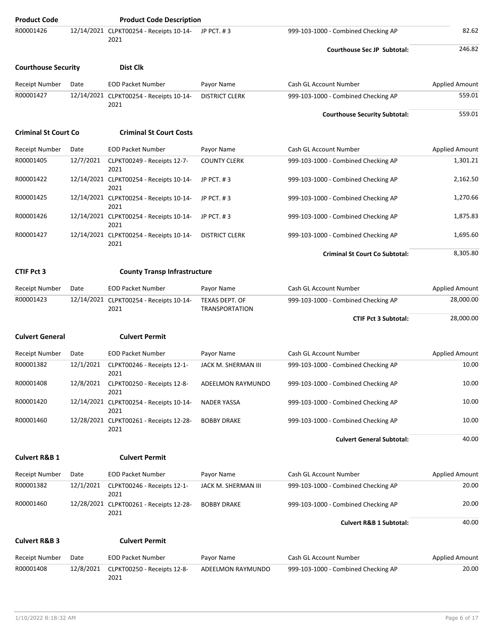| <b>Product Code</b>         |           | <b>Product Code Description</b>                 |                                         |                                       |                       |
|-----------------------------|-----------|-------------------------------------------------|-----------------------------------------|---------------------------------------|-----------------------|
| R00001426                   |           | 12/14/2021 CLPKT00254 - Receipts 10-14-<br>2021 | JP PCT, #3                              | 999-103-1000 - Combined Checking AP   | 82.62                 |
|                             |           |                                                 |                                         | <b>Courthouse Sec JP Subtotal:</b>    | 246.82                |
| <b>Courthouse Security</b>  |           | Dist Clk                                        |                                         |                                       |                       |
| <b>Receipt Number</b>       | Date      | <b>EOD Packet Number</b>                        | Payor Name                              | Cash GL Account Number                | <b>Applied Amount</b> |
| R00001427                   |           | 12/14/2021 CLPKT00254 - Receipts 10-14-<br>2021 | <b>DISTRICT CLERK</b>                   | 999-103-1000 - Combined Checking AP   | 559.01                |
|                             |           |                                                 |                                         | <b>Courthouse Security Subtotal:</b>  | 559.01                |
| <b>Criminal St Court Co</b> |           | <b>Criminal St Court Costs</b>                  |                                         |                                       |                       |
| <b>Receipt Number</b>       | Date      | <b>EOD Packet Number</b>                        | Payor Name                              | Cash GL Account Number                | <b>Applied Amount</b> |
| R00001405                   | 12/7/2021 | CLPKT00249 - Receipts 12-7-<br>2021             | <b>COUNTY CLERK</b>                     | 999-103-1000 - Combined Checking AP   | 1,301.21              |
| R00001422                   |           | 12/14/2021 CLPKT00254 - Receipts 10-14-<br>2021 | JP PCT, #3                              | 999-103-1000 - Combined Checking AP   | 2,162.50              |
| R00001425                   |           | 12/14/2021 CLPKT00254 - Receipts 10-14-<br>2021 | JP PCT. #3                              | 999-103-1000 - Combined Checking AP   | 1,270.66              |
| R00001426                   |           | 12/14/2021 CLPKT00254 - Receipts 10-14-<br>2021 | JP PCT. #3                              | 999-103-1000 - Combined Checking AP   | 1,875.83              |
| R00001427                   |           | 12/14/2021 CLPKT00254 - Receipts 10-14-<br>2021 | <b>DISTRICT CLERK</b>                   | 999-103-1000 - Combined Checking AP   | 1,695.60              |
|                             |           |                                                 |                                         | <b>Criminal St Court Co Subtotal:</b> | 8,305.80              |
| <b>CTIF Pct 3</b>           |           | <b>County Transp Infrastructure</b>             |                                         |                                       |                       |
| <b>Receipt Number</b>       | Date      | <b>EOD Packet Number</b>                        | Payor Name                              | Cash GL Account Number                | <b>Applied Amount</b> |
| R00001423                   |           | 12/14/2021 CLPKT00254 - Receipts 10-14-<br>2021 | TEXAS DEPT. OF<br><b>TRANSPORTATION</b> | 999-103-1000 - Combined Checking AP   | 28,000.00             |
|                             |           |                                                 |                                         | <b>CTIF Pct 3 Subtotal:</b>           | 28,000.00             |
| <b>Culvert General</b>      |           | <b>Culvert Permit</b>                           |                                         |                                       |                       |
| <b>Receipt Number</b>       | Date      | <b>EOD Packet Number</b>                        | Payor Name                              | Cash GL Account Number                | <b>Applied Amount</b> |
| R00001382                   | 12/1/2021 | CLPKT00246 - Receipts 12-1-<br>2021             | JACK M. SHERMAN III                     | 999-103-1000 - Combined Checking AP   | 10.00                 |
| R00001408                   |           | 12/8/2021 CLPKT00250 - Receipts 12-8-<br>2021   | ADEELMON RAYMUNDO                       | 999-103-1000 - Combined Checking AP   | 10.00                 |
| R00001420                   |           | 12/14/2021 CLPKT00254 - Receipts 10-14-<br>2021 | <b>NADER YASSA</b>                      | 999-103-1000 - Combined Checking AP   | 10.00                 |
| R00001460                   |           | 12/28/2021 CLPKT00261 - Receipts 12-28-<br>2021 | <b>BOBBY DRAKE</b>                      | 999-103-1000 - Combined Checking AP   | 10.00                 |
|                             |           |                                                 |                                         | <b>Culvert General Subtotal:</b>      | 40.00                 |
| <b>Culvert R&amp;B 1</b>    |           | <b>Culvert Permit</b>                           |                                         |                                       |                       |
| <b>Receipt Number</b>       | Date      | <b>EOD Packet Number</b>                        | Payor Name                              | Cash GL Account Number                | <b>Applied Amount</b> |
| R00001382                   | 12/1/2021 | CLPKT00246 - Receipts 12-1-<br>2021             | JACK M. SHERMAN III                     | 999-103-1000 - Combined Checking AP   | 20.00                 |
| R00001460                   |           | 12/28/2021 CLPKT00261 - Receipts 12-28-<br>2021 | <b>BOBBY DRAKE</b>                      | 999-103-1000 - Combined Checking AP   | 20.00                 |
|                             |           |                                                 |                                         | <b>Culvert R&amp;B 1 Subtotal:</b>    | 40.00                 |
| <b>Culvert R&amp;B 3</b>    |           | <b>Culvert Permit</b>                           |                                         |                                       |                       |
| <b>Receipt Number</b>       | Date      | <b>EOD Packet Number</b>                        | Payor Name                              | Cash GL Account Number                | <b>Applied Amount</b> |
| R00001408                   | 12/8/2021 | CLPKT00250 - Receipts 12-8-<br>2021             | ADEELMON RAYMUNDO                       | 999-103-1000 - Combined Checking AP   | 20.00                 |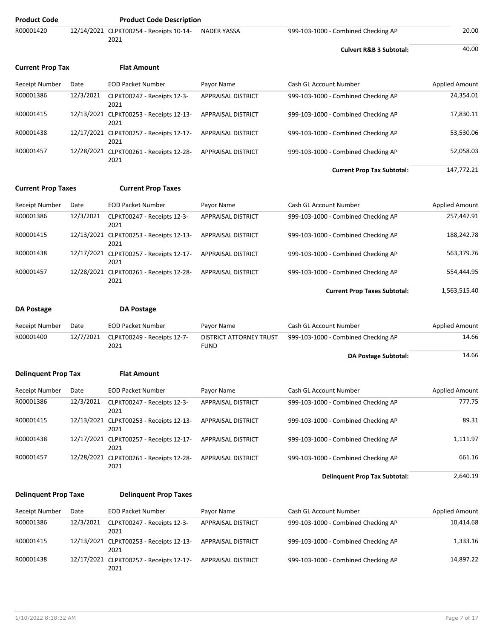| <b>Product Code</b>         |           | <b>Product Code Description</b>                         |                                               |                                      |                       |
|-----------------------------|-----------|---------------------------------------------------------|-----------------------------------------------|--------------------------------------|-----------------------|
| R00001420                   |           | 12/14/2021 CLPKT00254 - Receipts 10-14-<br>2021         | <b>NADER YASSA</b>                            | 999-103-1000 - Combined Checking AP  | 20.00                 |
|                             |           |                                                         |                                               | <b>Culvert R&amp;B 3 Subtotal:</b>   | 40.00                 |
| <b>Current Prop Tax</b>     |           | <b>Flat Amount</b>                                      |                                               |                                      |                       |
| <b>Receipt Number</b>       | Date      | <b>EOD Packet Number</b>                                | Payor Name                                    | Cash GL Account Number               | <b>Applied Amount</b> |
| R00001386                   | 12/3/2021 | CLPKT00247 - Receipts 12-3-<br>2021                     | APPRAISAL DISTRICT                            | 999-103-1000 - Combined Checking AP  | 24,354.01             |
| R00001415                   |           | 12/13/2021 CLPKT00253 - Receipts 12-13-<br>2021         | APPRAISAL DISTRICT                            | 999-103-1000 - Combined Checking AP  | 17,830.11             |
| R00001438                   |           | 12/17/2021 CLPKT00257 - Receipts 12-17-<br>2021         | APPRAISAL DISTRICT                            | 999-103-1000 - Combined Checking AP  | 53,530.06             |
| R00001457                   |           | 12/28/2021 CLPKT00261 - Receipts 12-28-<br>2021         | APPRAISAL DISTRICT                            | 999-103-1000 - Combined Checking AP  | 52,058.03             |
|                             |           |                                                         |                                               | <b>Current Prop Tax Subtotal:</b>    | 147,772.21            |
| <b>Current Prop Taxes</b>   |           | <b>Current Prop Taxes</b>                               |                                               |                                      |                       |
| <b>Receipt Number</b>       | Date      | <b>EOD Packet Number</b>                                | Payor Name                                    | Cash GL Account Number               | <b>Applied Amount</b> |
| R00001386                   | 12/3/2021 | CLPKT00247 - Receipts 12-3-                             | APPRAISAL DISTRICT                            | 999-103-1000 - Combined Checking AP  | 257,447.91            |
| R00001415                   |           | 2021<br>12/13/2021 CLPKT00253 - Receipts 12-13-         | APPRAISAL DISTRICT                            | 999-103-1000 - Combined Checking AP  | 188,242.78            |
| R00001438                   |           | 2021<br>12/17/2021 CLPKT00257 - Receipts 12-17-<br>2021 | <b>APPRAISAL DISTRICT</b>                     | 999-103-1000 - Combined Checking AP  | 563,379.76            |
| R00001457                   |           | 12/28/2021 CLPKT00261 - Receipts 12-28-<br>2021         | APPRAISAL DISTRICT                            | 999-103-1000 - Combined Checking AP  | 554,444.95            |
|                             |           |                                                         |                                               | <b>Current Prop Taxes Subtotal:</b>  | 1,563,515.40          |
| <b>DA Postage</b>           |           | <b>DA Postage</b>                                       |                                               |                                      |                       |
| <b>Receipt Number</b>       | Date      | <b>EOD Packet Number</b>                                | Payor Name                                    | Cash GL Account Number               | <b>Applied Amount</b> |
| R00001400                   | 12/7/2021 | CLPKT00249 - Receipts 12-7-<br>2021                     | <b>DISTRICT ATTORNEY TRUST</b><br><b>FUND</b> | 999-103-1000 - Combined Checking AP  | 14.66                 |
|                             |           |                                                         |                                               | DA Postage Subtotal:                 | 14.66                 |
| <b>Delinquent Prop Tax</b>  |           | <b>Flat Amount</b>                                      |                                               |                                      |                       |
| Receipt Number              | Date      | <b>EOD Packet Number</b>                                | Payor Name                                    | Cash GL Account Number               | <b>Applied Amount</b> |
| R00001386                   | 12/3/2021 | CLPKT00247 - Receipts 12-3-<br>2021                     | <b>APPRAISAL DISTRICT</b>                     | 999-103-1000 - Combined Checking AP  | 777.75                |
| R00001415                   |           | 12/13/2021 CLPKT00253 - Receipts 12-13-<br>2021         | APPRAISAL DISTRICT                            | 999-103-1000 - Combined Checking AP  | 89.31                 |
| R00001438                   |           | 12/17/2021 CLPKT00257 - Receipts 12-17-<br>2021         | APPRAISAL DISTRICT                            | 999-103-1000 - Combined Checking AP  | 1,111.97              |
| R00001457                   |           | 12/28/2021 CLPKT00261 - Receipts 12-28-<br>2021         | APPRAISAL DISTRICT                            | 999-103-1000 - Combined Checking AP  | 661.16                |
|                             |           |                                                         |                                               | <b>Delinquent Prop Tax Subtotal:</b> | 2,640.19              |
| <b>Delinquent Prop Taxe</b> |           | <b>Delinquent Prop Taxes</b>                            |                                               |                                      |                       |
| <b>Receipt Number</b>       | Date      | <b>EOD Packet Number</b>                                | Payor Name                                    | Cash GL Account Number               | <b>Applied Amount</b> |
| R00001386                   | 12/3/2021 | CLPKT00247 - Receipts 12-3-<br>2021                     | APPRAISAL DISTRICT                            | 999-103-1000 - Combined Checking AP  | 10,414.68             |
| R00001415                   |           | 12/13/2021 CLPKT00253 - Receipts 12-13-<br>2021         | APPRAISAL DISTRICT                            | 999-103-1000 - Combined Checking AP  | 1,333.16              |
| R00001438                   |           | 12/17/2021 CLPKT00257 - Receipts 12-17-<br>2021         | APPRAISAL DISTRICT                            | 999-103-1000 - Combined Checking AP  | 14,897.22             |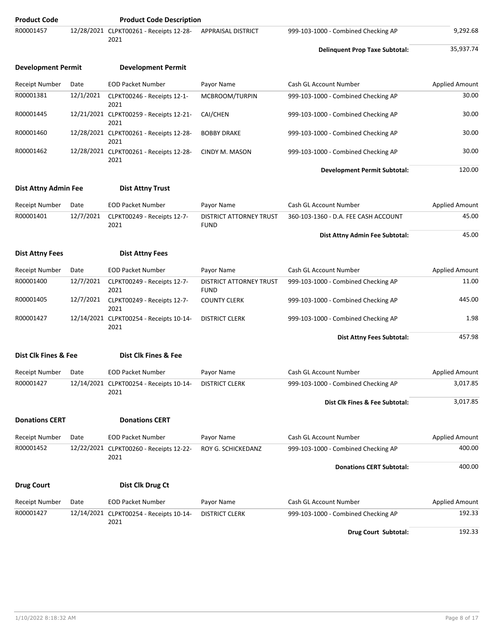| <b>Product Code</b>         |           | <b>Product Code Description</b>                 |                                        |                                       |                       |
|-----------------------------|-----------|-------------------------------------------------|----------------------------------------|---------------------------------------|-----------------------|
| R00001457                   |           | 12/28/2021 CLPKT00261 - Receipts 12-28-<br>2021 | APPRAISAL DISTRICT                     | 999-103-1000 - Combined Checking AP   | 9,292.68              |
|                             |           |                                                 |                                        | <b>Delinquent Prop Taxe Subtotal:</b> | 35,937.74             |
| <b>Development Permit</b>   |           | <b>Development Permit</b>                       |                                        |                                       |                       |
| <b>Receipt Number</b>       | Date      | <b>EOD Packet Number</b>                        | Payor Name                             | Cash GL Account Number                | <b>Applied Amount</b> |
| R00001381                   | 12/1/2021 | CLPKT00246 - Receipts 12-1-<br>2021             | MCBROOM/TURPIN                         | 999-103-1000 - Combined Checking AP   | 30.00                 |
| R00001445                   |           | 12/21/2021 CLPKT00259 - Receipts 12-21-<br>2021 | CAI/CHEN                               | 999-103-1000 - Combined Checking AP   | 30.00                 |
| R00001460                   |           | 12/28/2021 CLPKT00261 - Receipts 12-28-<br>2021 | <b>BOBBY DRAKE</b>                     | 999-103-1000 - Combined Checking AP   | 30.00                 |
| R00001462                   |           | 12/28/2021 CLPKT00261 - Receipts 12-28-<br>2021 | CINDY M. MASON                         | 999-103-1000 - Combined Checking AP   | 30.00                 |
|                             |           |                                                 |                                        | <b>Development Permit Subtotal:</b>   | 120.00                |
| <b>Dist Attny Admin Fee</b> |           | <b>Dist Attny Trust</b>                         |                                        |                                       |                       |
| Receipt Number              | Date      | <b>EOD Packet Number</b>                        | Payor Name                             | Cash GL Account Number                | <b>Applied Amount</b> |
| R00001401                   | 12/7/2021 | CLPKT00249 - Receipts 12-7-<br>2021             | DISTRICT ATTORNEY TRUST<br><b>FUND</b> | 360-103-1360 - D.A. FEE CASH ACCOUNT  | 45.00                 |
|                             |           |                                                 |                                        | Dist Attny Admin Fee Subtotal:        | 45.00                 |
| <b>Dist Attny Fees</b>      |           | <b>Dist Attny Fees</b>                          |                                        |                                       |                       |
| <b>Receipt Number</b>       | Date      | <b>EOD Packet Number</b>                        | Payor Name                             | Cash GL Account Number                | <b>Applied Amount</b> |
| R00001400                   | 12/7/2021 | CLPKT00249 - Receipts 12-7-<br>2021             | DISTRICT ATTORNEY TRUST<br><b>FUND</b> | 999-103-1000 - Combined Checking AP   | 11.00                 |
| R00001405                   | 12/7/2021 | CLPKT00249 - Receipts 12-7-<br>2021             | <b>COUNTY CLERK</b>                    | 999-103-1000 - Combined Checking AP   | 445.00                |
| R00001427                   |           | 12/14/2021 CLPKT00254 - Receipts 10-14-<br>2021 | <b>DISTRICT CLERK</b>                  | 999-103-1000 - Combined Checking AP   | 1.98                  |
|                             |           |                                                 |                                        | Dist Attny Fees Subtotal:             | 457.98                |
| Dist Clk Fines & Fee        |           | Dist Clk Fines & Fee                            |                                        |                                       |                       |
| Receipt Number              | Date      | EOD Packet Number                               | Payor Name                             | Cash GL Account Number                | Applied Amount        |
| R00001427                   |           | 12/14/2021 CLPKT00254 - Receipts 10-14-<br>2021 | <b>DISTRICT CLERK</b>                  | 999-103-1000 - Combined Checking AP   | 3,017.85              |
|                             |           |                                                 |                                        | Dist Clk Fines & Fee Subtotal:        | 3,017.85              |
| <b>Donations CERT</b>       |           | <b>Donations CERT</b>                           |                                        |                                       |                       |
| Receipt Number              | Date      | <b>EOD Packet Number</b>                        | Payor Name                             | Cash GL Account Number                | <b>Applied Amount</b> |
| R00001452                   |           | 12/22/2021 CLPKT00260 - Receipts 12-22-<br>2021 | ROY G. SCHICKEDANZ                     | 999-103-1000 - Combined Checking AP   | 400.00                |
|                             |           |                                                 |                                        | <b>Donations CERT Subtotal:</b>       | 400.00                |
| <b>Drug Court</b>           |           | Dist Clk Drug Ct                                |                                        |                                       |                       |
| <b>Receipt Number</b>       | Date      | <b>EOD Packet Number</b>                        | Payor Name                             | Cash GL Account Number                | <b>Applied Amount</b> |
| R00001427                   |           | 12/14/2021 CLPKT00254 - Receipts 10-14-<br>2021 | <b>DISTRICT CLERK</b>                  | 999-103-1000 - Combined Checking AP   | 192.33                |
|                             |           |                                                 |                                        | Drug Court Subtotal:                  | 192.33                |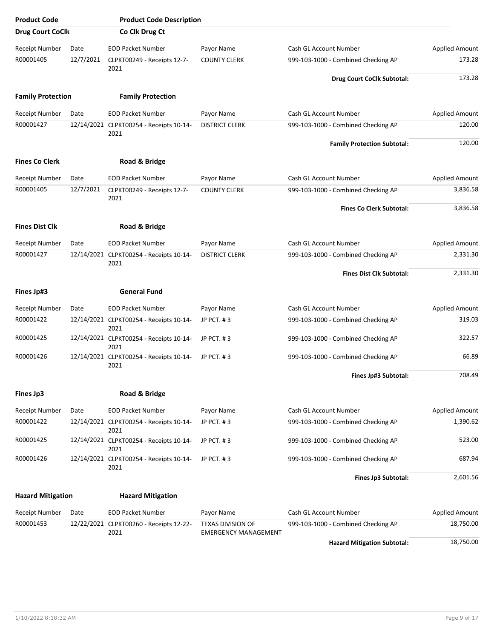| <b>Product Code</b>      |           | <b>Product Code Description</b>                 |                                                  |                                     |                       |
|--------------------------|-----------|-------------------------------------------------|--------------------------------------------------|-------------------------------------|-----------------------|
| <b>Drug Court CoClk</b>  |           | Co Clk Drug Ct                                  |                                                  |                                     |                       |
| <b>Receipt Number</b>    | Date      | <b>EOD Packet Number</b>                        | Payor Name                                       | Cash GL Account Number              | <b>Applied Amount</b> |
| R00001405                | 12/7/2021 | CLPKT00249 - Receipts 12-7-<br>2021             | <b>COUNTY CLERK</b>                              | 999-103-1000 - Combined Checking AP | 173.28                |
|                          |           |                                                 |                                                  | Drug Court CoClk Subtotal:          | 173.28                |
| <b>Family Protection</b> |           | <b>Family Protection</b>                        |                                                  |                                     |                       |
| <b>Receipt Number</b>    | Date      | <b>EOD Packet Number</b>                        | Payor Name                                       | Cash GL Account Number              | <b>Applied Amount</b> |
| R00001427                |           | 12/14/2021 CLPKT00254 - Receipts 10-14-<br>2021 | <b>DISTRICT CLERK</b>                            | 999-103-1000 - Combined Checking AP | 120.00                |
|                          |           |                                                 |                                                  | <b>Family Protection Subtotal:</b>  | 120.00                |
| <b>Fines Co Clerk</b>    |           | Road & Bridge                                   |                                                  |                                     |                       |
| <b>Receipt Number</b>    | Date      | <b>EOD Packet Number</b>                        | Payor Name                                       | Cash GL Account Number              | Applied Amount        |
| R00001405                | 12/7/2021 | CLPKT00249 - Receipts 12-7-<br>2021             | <b>COUNTY CLERK</b>                              | 999-103-1000 - Combined Checking AP | 3,836.58              |
|                          |           |                                                 |                                                  | <b>Fines Co Clerk Subtotal:</b>     | 3,836.58              |
| <b>Fines Dist Clk</b>    |           | Road & Bridge                                   |                                                  |                                     |                       |
| <b>Receipt Number</b>    | Date      | <b>EOD Packet Number</b>                        | Payor Name                                       | Cash GL Account Number              | <b>Applied Amount</b> |
| R00001427                |           | 12/14/2021 CLPKT00254 - Receipts 10-14-<br>2021 | <b>DISTRICT CLERK</b>                            | 999-103-1000 - Combined Checking AP | 2,331.30              |
|                          |           |                                                 |                                                  | <b>Fines Dist Clk Subtotal:</b>     | 2,331.30              |
| <b>Fines Jp#3</b>        |           | <b>General Fund</b>                             |                                                  |                                     |                       |
| <b>Receipt Number</b>    | Date      | <b>EOD Packet Number</b>                        | Payor Name                                       | Cash GL Account Number              | <b>Applied Amount</b> |
| R00001422                |           | 12/14/2021 CLPKT00254 - Receipts 10-14-<br>2021 | JP PCT. #3                                       | 999-103-1000 - Combined Checking AP | 319.03                |
| R00001425                |           | 12/14/2021 CLPKT00254 - Receipts 10-14-<br>2021 | JP PCT. #3                                       | 999-103-1000 - Combined Checking AP | 322.57                |
| R00001426                |           | 12/14/2021 CLPKT00254 - Receipts 10-14-<br>2021 | JP PCT, #3                                       | 999-103-1000 - Combined Checking AP | 66.89                 |
|                          |           |                                                 |                                                  | Fines Jp#3 Subtotal:                | 708.49                |
| <b>Fines Jp3</b>         |           | Road & Bridge                                   |                                                  |                                     |                       |
| Receipt Number           | Date      | <b>EOD Packet Number</b>                        | Payor Name                                       | Cash GL Account Number              | <b>Applied Amount</b> |
| R00001422                |           | 12/14/2021 CLPKT00254 - Receipts 10-14-<br>2021 | JP PCT. #3                                       | 999-103-1000 - Combined Checking AP | 1,390.62              |
| R00001425                |           | 12/14/2021 CLPKT00254 - Receipts 10-14-<br>2021 | JP PCT. #3                                       | 999-103-1000 - Combined Checking AP | 523.00                |
| R00001426                |           | 12/14/2021 CLPKT00254 - Receipts 10-14-<br>2021 | JP PCT. #3                                       | 999-103-1000 - Combined Checking AP | 687.94                |
|                          |           |                                                 |                                                  | Fines Jp3 Subtotal:                 | 2,601.56              |
| <b>Hazard Mitigation</b> |           | <b>Hazard Mitigation</b>                        |                                                  |                                     |                       |
| Receipt Number           | Date      | <b>EOD Packet Number</b>                        | Payor Name                                       | Cash GL Account Number              | <b>Applied Amount</b> |
| R00001453                |           | 12/22/2021 CLPKT00260 - Receipts 12-22-<br>2021 | TEXAS DIVISION OF<br><b>EMERGENCY MANAGEMENT</b> | 999-103-1000 - Combined Checking AP | 18,750.00             |
|                          |           |                                                 |                                                  | <b>Hazard Mitigation Subtotal:</b>  | 18,750.00             |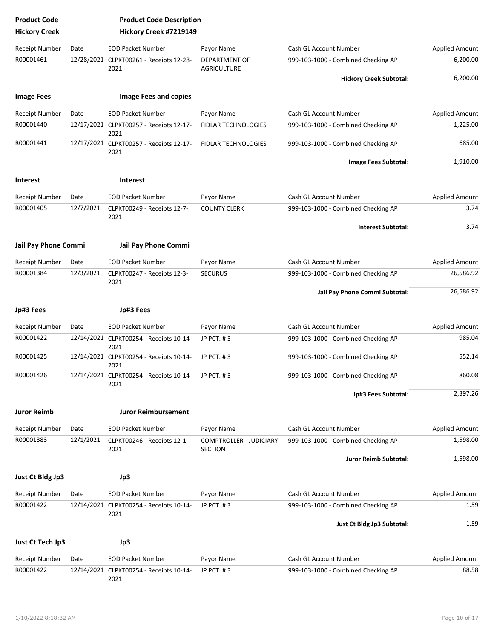| <b>Product Code</b>         |           | <b>Product Code Description</b>                 |                                            |                                     |                       |
|-----------------------------|-----------|-------------------------------------------------|--------------------------------------------|-------------------------------------|-----------------------|
| <b>Hickory Creek</b>        |           | Hickory Creek #7219149                          |                                            |                                     |                       |
| <b>Receipt Number</b>       | Date      | <b>EOD Packet Number</b>                        | Payor Name                                 | Cash GL Account Number              | <b>Applied Amount</b> |
| R00001461                   |           | 12/28/2021 CLPKT00261 - Receipts 12-28-<br>2021 | <b>DEPARTMENT OF</b><br><b>AGRICULTURE</b> | 999-103-1000 - Combined Checking AP | 6,200.00              |
|                             |           |                                                 |                                            | <b>Hickory Creek Subtotal:</b>      | 6,200.00              |
| <b>Image Fees</b>           |           | <b>Image Fees and copies</b>                    |                                            |                                     |                       |
| <b>Receipt Number</b>       | Date      | <b>EOD Packet Number</b>                        | Payor Name                                 | Cash GL Account Number              | <b>Applied Amount</b> |
| R00001440                   |           | 12/17/2021 CLPKT00257 - Receipts 12-17-<br>2021 | <b>FIDLAR TECHNOLOGIES</b>                 | 999-103-1000 - Combined Checking AP | 1,225.00              |
| R00001441                   |           | 12/17/2021 CLPKT00257 - Receipts 12-17-<br>2021 | FIDLAR TECHNOLOGIES                        | 999-103-1000 - Combined Checking AP | 685.00                |
|                             |           |                                                 |                                            | Image Fees Subtotal:                | 1,910.00              |
| <b>Interest</b>             |           | <b>Interest</b>                                 |                                            |                                     |                       |
| <b>Receipt Number</b>       | Date      | <b>EOD Packet Number</b>                        | Payor Name                                 | Cash GL Account Number              | <b>Applied Amount</b> |
| R00001405                   | 12/7/2021 | CLPKT00249 - Receipts 12-7-<br>2021             | <b>COUNTY CLERK</b>                        | 999-103-1000 - Combined Checking AP | 3.74                  |
|                             |           |                                                 |                                            | <b>Interest Subtotal:</b>           | 3.74                  |
| <b>Jail Pay Phone Commi</b> |           | <b>Jail Pay Phone Commi</b>                     |                                            |                                     |                       |
| <b>Receipt Number</b>       | Date      | <b>EOD Packet Number</b>                        | Payor Name                                 | Cash GL Account Number              | Applied Amount        |
| R00001384                   | 12/3/2021 | CLPKT00247 - Receipts 12-3-<br>2021             | <b>SECURUS</b>                             | 999-103-1000 - Combined Checking AP | 26,586.92             |
|                             |           |                                                 |                                            | Jail Pay Phone Commi Subtotal:      | 26,586.92             |
|                             |           |                                                 |                                            |                                     |                       |
| Jp#3 Fees                   |           | Jp#3 Fees                                       |                                            |                                     |                       |
| Receipt Number              | Date      | <b>EOD Packet Number</b>                        | Payor Name                                 | Cash GL Account Number              | <b>Applied Amount</b> |
| R00001422                   |           | 12/14/2021 CLPKT00254 - Receipts 10-14-<br>2021 | JP PCT. #3                                 | 999-103-1000 - Combined Checking AP | 985.04                |
| R00001425                   |           | 12/14/2021 CLPKT00254 - Receipts 10-14-<br>2021 | JP PCT. #3                                 | 999-103-1000 - Combined Checking AP | 552.14                |
| R00001426                   |           | 12/14/2021 CLPKT00254 - Receipts 10-14-<br>2021 | JP PCT. #3                                 | 999-103-1000 - Combined Checking AP | 860.08                |
|                             |           |                                                 |                                            | Jp#3 Fees Subtotal:                 | 2,397.26              |
| <b>Juror Reimb</b>          |           | <b>Juror Reimbursement</b>                      |                                            |                                     |                       |
| <b>Receipt Number</b>       | Date      | <b>EOD Packet Number</b>                        | Payor Name                                 | Cash GL Account Number              | <b>Applied Amount</b> |
| R00001383                   | 12/1/2021 | CLPKT00246 - Receipts 12-1-<br>2021             | COMPTROLLER - JUDICIARY<br><b>SECTION</b>  | 999-103-1000 - Combined Checking AP | 1,598.00              |
|                             |           |                                                 |                                            | Juror Reimb Subtotal:               | 1,598.00              |
| Just Ct Bldg Jp3            |           | Jp3                                             |                                            |                                     |                       |
| Receipt Number              | Date      | <b>EOD Packet Number</b>                        | Payor Name                                 | Cash GL Account Number              | Applied Amount        |
| R00001422                   |           | 12/14/2021 CLPKT00254 - Receipts 10-14-<br>2021 | JP PCT. #3                                 | 999-103-1000 - Combined Checking AP | 1.59                  |
|                             |           |                                                 |                                            | Just Ct Bldg Jp3 Subtotal:          | 1.59                  |
| Just Ct Tech Jp3            |           | Jp3                                             |                                            |                                     |                       |
| <b>Receipt Number</b>       | Date      | <b>EOD Packet Number</b>                        | Payor Name                                 | <b>Cash GL Account Number</b>       | <b>Applied Amount</b> |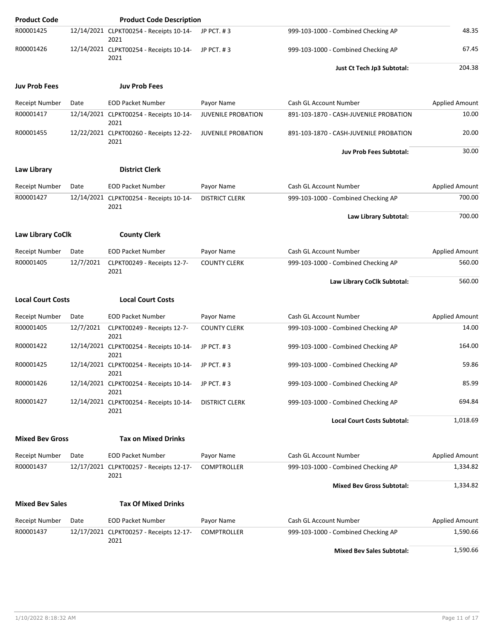| <b>Product Code</b>      |           | <b>Product Code Description</b>                 |                           |                                        |                       |
|--------------------------|-----------|-------------------------------------------------|---------------------------|----------------------------------------|-----------------------|
| R00001425                |           | 12/14/2021 CLPKT00254 - Receipts 10-14-<br>2021 | JP PCT. #3                | 999-103-1000 - Combined Checking AP    | 48.35                 |
| R00001426                |           | 12/14/2021 CLPKT00254 - Receipts 10-14-<br>2021 | JP PCT. #3                | 999-103-1000 - Combined Checking AP    | 67.45                 |
|                          |           |                                                 |                           | Just Ct Tech Jp3 Subtotal:             | 204.38                |
| <b>Juv Prob Fees</b>     |           | <b>Juv Prob Fees</b>                            |                           |                                        |                       |
| <b>Receipt Number</b>    | Date      | <b>EOD Packet Number</b>                        | Payor Name                | Cash GL Account Number                 | <b>Applied Amount</b> |
| R00001417                |           | 12/14/2021 CLPKT00254 - Receipts 10-14-<br>2021 | <b>JUVENILE PROBATION</b> | 891-103-1870 - CASH-JUVENILE PROBATION | 10.00                 |
| R00001455                |           | 12/22/2021 CLPKT00260 - Receipts 12-22-<br>2021 | <b>JUVENILE PROBATION</b> | 891-103-1870 - CASH-JUVENILE PROBATION | 20.00                 |
|                          |           |                                                 |                           | <b>Juv Prob Fees Subtotal:</b>         | 30.00                 |
| Law Library              |           | <b>District Clerk</b>                           |                           |                                        |                       |
| <b>Receipt Number</b>    | Date      | <b>EOD Packet Number</b>                        | Payor Name                | Cash GL Account Number                 | <b>Applied Amount</b> |
| R00001427                |           | 12/14/2021 CLPKT00254 - Receipts 10-14-<br>2021 | <b>DISTRICT CLERK</b>     | 999-103-1000 - Combined Checking AP    | 700.00                |
|                          |           |                                                 |                           | Law Library Subtotal:                  | 700.00                |
| <b>Law Library CoClk</b> |           | <b>County Clerk</b>                             |                           |                                        |                       |
| Receipt Number           | Date      | <b>EOD Packet Number</b>                        | Payor Name                | Cash GL Account Number                 | <b>Applied Amount</b> |
| R00001405                | 12/7/2021 | CLPKT00249 - Receipts 12-7-<br>2021             | <b>COUNTY CLERK</b>       | 999-103-1000 - Combined Checking AP    | 560.00                |
|                          |           |                                                 |                           | Law Library CoClk Subtotal:            | 560.00                |
| <b>Local Court Costs</b> |           | <b>Local Court Costs</b>                        |                           |                                        |                       |
| <b>Receipt Number</b>    | Date      | <b>EOD Packet Number</b>                        | Payor Name                | Cash GL Account Number                 | Applied Amount        |
| R00001405                | 12/7/2021 | CLPKT00249 - Receipts 12-7-<br>2021             | <b>COUNTY CLERK</b>       | 999-103-1000 - Combined Checking AP    | 14.00                 |
| R00001422                |           | 12/14/2021 CLPKT00254 - Receipts 10-14-<br>2021 | JP PCT, #3                | 999-103-1000 - Combined Checking AP    | 164.00                |
| R00001425                |           | 12/14/2021 CLPKT00254 - Receipts 10-14-<br>2021 | JP PCT. #3                | 999-103-1000 - Combined Checking AP    | 59.86                 |
| R00001426                |           | 12/14/2021 CLPKT00254 - Receipts 10-14-<br>2021 | JP PCT. #3                | 999-103-1000 - Combined Checking AP    | 85.99                 |
| R00001427                |           | 12/14/2021 CLPKT00254 - Receipts 10-14-<br>2021 | <b>DISTRICT CLERK</b>     | 999-103-1000 - Combined Checking AP    | 694.84                |
|                          |           |                                                 |                           | <b>Local Court Costs Subtotal:</b>     | 1,018.69              |
| <b>Mixed Bev Gross</b>   |           | <b>Tax on Mixed Drinks</b>                      |                           |                                        |                       |
| <b>Receipt Number</b>    | Date      | <b>EOD Packet Number</b>                        | Payor Name                | Cash GL Account Number                 | Applied Amount        |
| R00001437                |           | 12/17/2021 CLPKT00257 - Receipts 12-17-<br>2021 | <b>COMPTROLLER</b>        | 999-103-1000 - Combined Checking AP    | 1,334.82              |
|                          |           |                                                 |                           | <b>Mixed Bev Gross Subtotal:</b>       | 1,334.82              |
| <b>Mixed Bev Sales</b>   |           | <b>Tax Of Mixed Drinks</b>                      |                           |                                        |                       |
| <b>Receipt Number</b>    | Date      | <b>EOD Packet Number</b>                        | Payor Name                | Cash GL Account Number                 | <b>Applied Amount</b> |
| R00001437                |           | 12/17/2021 CLPKT00257 - Receipts 12-17-<br>2021 | <b>COMPTROLLER</b>        | 999-103-1000 - Combined Checking AP    | 1,590.66              |
|                          |           |                                                 |                           | <b>Mixed Bev Sales Subtotal:</b>       | 1,590.66              |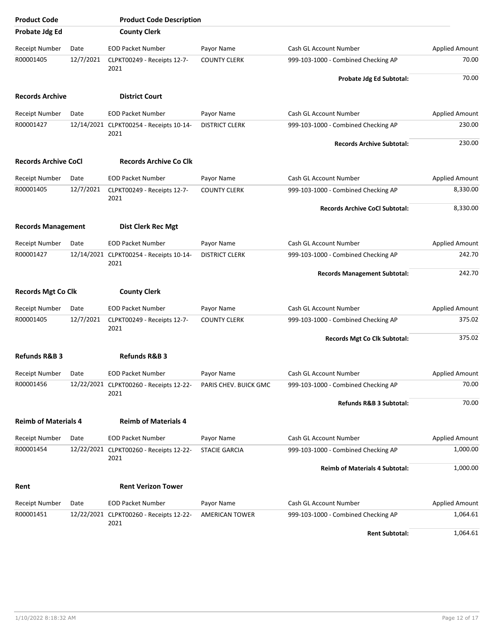| <b>Product Code</b>         |           | <b>Product Code Description</b>                 |                       |                                       |                       |
|-----------------------------|-----------|-------------------------------------------------|-----------------------|---------------------------------------|-----------------------|
| Probate Jdg Ed              |           | <b>County Clerk</b>                             |                       |                                       |                       |
| Receipt Number              | Date      | <b>EOD Packet Number</b>                        | Payor Name            | Cash GL Account Number                | <b>Applied Amount</b> |
| R00001405                   | 12/7/2021 | CLPKT00249 - Receipts 12-7-<br>2021             | <b>COUNTY CLERK</b>   | 999-103-1000 - Combined Checking AP   | 70.00                 |
|                             |           |                                                 |                       | Probate Jdg Ed Subtotal:              | 70.00                 |
| <b>Records Archive</b>      |           | <b>District Court</b>                           |                       |                                       |                       |
| <b>Receipt Number</b>       | Date      | <b>EOD Packet Number</b>                        | Payor Name            | Cash GL Account Number                | <b>Applied Amount</b> |
| R00001427                   |           | 12/14/2021 CLPKT00254 - Receipts 10-14-<br>2021 | <b>DISTRICT CLERK</b> | 999-103-1000 - Combined Checking AP   | 230.00                |
|                             |           |                                                 |                       | <b>Records Archive Subtotal:</b>      | 230.00                |
| <b>Records Archive CoCl</b> |           | <b>Records Archive Co Clk</b>                   |                       |                                       |                       |
| <b>Receipt Number</b>       | Date      | <b>EOD Packet Number</b>                        | Payor Name            | Cash GL Account Number                | <b>Applied Amount</b> |
| R00001405                   | 12/7/2021 | CLPKT00249 - Receipts 12-7-<br>2021             | <b>COUNTY CLERK</b>   | 999-103-1000 - Combined Checking AP   | 8,330.00              |
|                             |           |                                                 |                       | <b>Records Archive CoCl Subtotal:</b> | 8,330.00              |
| <b>Records Management</b>   |           | <b>Dist Clerk Rec Mgt</b>                       |                       |                                       |                       |
| <b>Receipt Number</b>       | Date      | <b>EOD Packet Number</b>                        | Payor Name            | Cash GL Account Number                | <b>Applied Amount</b> |
| R00001427                   |           | 12/14/2021 CLPKT00254 - Receipts 10-14-<br>2021 | <b>DISTRICT CLERK</b> | 999-103-1000 - Combined Checking AP   | 242.70                |
|                             |           |                                                 |                       | <b>Records Management Subtotal:</b>   | 242.70                |
| <b>Records Mgt Co Clk</b>   |           | <b>County Clerk</b>                             |                       |                                       |                       |
| <b>Receipt Number</b>       | Date      | <b>EOD Packet Number</b>                        | Payor Name            | Cash GL Account Number                | Applied Amount        |
| R00001405                   | 12/7/2021 | CLPKT00249 - Receipts 12-7-<br>2021             | <b>COUNTY CLERK</b>   | 999-103-1000 - Combined Checking AP   | 375.02                |
|                             |           |                                                 |                       | Records Mgt Co Clk Subtotal:          | 375.02                |
| <b>Refunds R&amp;B 3</b>    |           | <b>Refunds R&amp;B 3</b>                        |                       |                                       |                       |
| Receipt Number              | Date      | <b>EOD Packet Number</b>                        | Payor Name            | Cash GL Account Number                | <b>Applied Amount</b> |
| R00001456                   |           | 12/22/2021 CLPKT00260 - Receipts 12-22-<br>2021 | PARIS CHEV. BUICK GMC | 999-103-1000 - Combined Checking AP   | 70.00                 |
|                             |           |                                                 |                       | Refunds R&B 3 Subtotal:               | 70.00                 |
| <b>Reimb of Materials 4</b> |           | <b>Reimb of Materials 4</b>                     |                       |                                       |                       |
| <b>Receipt Number</b>       | Date      | <b>EOD Packet Number</b>                        | Payor Name            | Cash GL Account Number                | <b>Applied Amount</b> |
| R00001454                   |           | 12/22/2021 CLPKT00260 - Receipts 12-22-<br>2021 | <b>STACIE GARCIA</b>  | 999-103-1000 - Combined Checking AP   | 1,000.00              |
|                             |           |                                                 |                       | <b>Reimb of Materials 4 Subtotal:</b> | 1,000.00              |
| Rent                        |           | <b>Rent Verizon Tower</b>                       |                       |                                       |                       |
| Receipt Number              | Date      | <b>EOD Packet Number</b>                        | Payor Name            | Cash GL Account Number                | <b>Applied Amount</b> |
| R00001451                   |           | 12/22/2021 CLPKT00260 - Receipts 12-22-<br>2021 | AMERICAN TOWER        | 999-103-1000 - Combined Checking AP   | 1,064.61              |
|                             |           |                                                 |                       | <b>Rent Subtotal:</b>                 | 1,064.61              |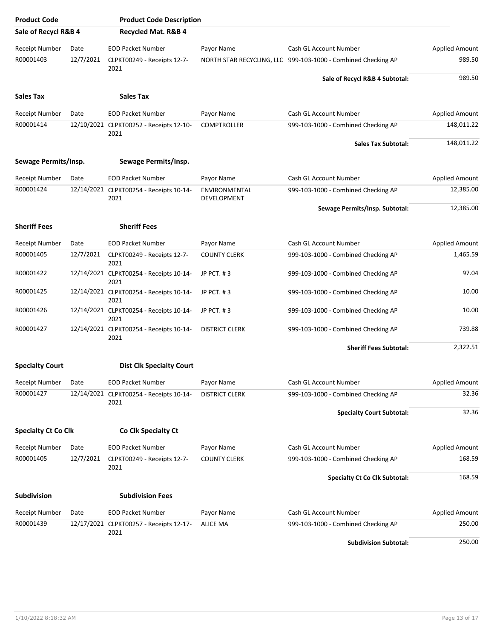| <b>Product Code</b>        |           | <b>Product Code Description</b>                 |                              |                                                               |                       |
|----------------------------|-----------|-------------------------------------------------|------------------------------|---------------------------------------------------------------|-----------------------|
| Sale of Recycl R&B 4       |           | <b>Recycled Mat. R&amp;B 4</b>                  |                              |                                                               |                       |
| <b>Receipt Number</b>      | Date      | <b>EOD Packet Number</b>                        | Payor Name                   | Cash GL Account Number                                        | <b>Applied Amount</b> |
| R00001403                  | 12/7/2021 | CLPKT00249 - Receipts 12-7-                     |                              | NORTH STAR RECYCLING, LLC 999-103-1000 - Combined Checking AP | 989.50                |
|                            |           | 2021                                            |                              | Sale of Recycl R&B 4 Subtotal:                                | 989.50                |
| <b>Sales Tax</b>           |           | <b>Sales Tax</b>                                |                              |                                                               |                       |
| Receipt Number             | Date      | <b>EOD Packet Number</b>                        | Payor Name                   | Cash GL Account Number                                        | <b>Applied Amount</b> |
| R00001414                  |           | 12/10/2021 CLPKT00252 - Receipts 12-10-         | <b>COMPTROLLER</b>           | 999-103-1000 - Combined Checking AP                           | 148,011.22            |
|                            |           | 2021                                            |                              | <b>Sales Tax Subtotal:</b>                                    | 148,011.22            |
| Sewage Permits/Insp.       |           | Sewage Permits/Insp.                            |                              |                                                               |                       |
| Receipt Number             | Date      | <b>EOD Packet Number</b>                        | Payor Name                   | Cash GL Account Number                                        | <b>Applied Amount</b> |
| R00001424                  |           | 12/14/2021 CLPKT00254 - Receipts 10-14-<br>2021 | ENVIRONMENTAL<br>DEVELOPMENT | 999-103-1000 - Combined Checking AP                           | 12,385.00             |
|                            |           |                                                 |                              | Sewage Permits/Insp. Subtotal:                                | 12,385.00             |
| <b>Sheriff Fees</b>        |           | <b>Sheriff Fees</b>                             |                              |                                                               |                       |
| Receipt Number             | Date      | <b>EOD Packet Number</b>                        | Payor Name                   | Cash GL Account Number                                        | <b>Applied Amount</b> |
| R00001405                  | 12/7/2021 | CLPKT00249 - Receipts 12-7-<br>2021             | <b>COUNTY CLERK</b>          | 999-103-1000 - Combined Checking AP                           | 1,465.59              |
| R00001422                  |           | 12/14/2021 CLPKT00254 - Receipts 10-14-<br>2021 | JP PCT. #3                   | 999-103-1000 - Combined Checking AP                           | 97.04                 |
| R00001425                  |           | 12/14/2021 CLPKT00254 - Receipts 10-14-<br>2021 | JP PCT. #3                   | 999-103-1000 - Combined Checking AP                           | 10.00                 |
| R00001426                  |           | 12/14/2021 CLPKT00254 - Receipts 10-14-<br>2021 | JP PCT. #3                   | 999-103-1000 - Combined Checking AP                           | 10.00                 |
| R00001427                  |           | 12/14/2021 CLPKT00254 - Receipts 10-14-<br>2021 | <b>DISTRICT CLERK</b>        | 999-103-1000 - Combined Checking AP                           | 739.88                |
|                            |           |                                                 |                              | <b>Sheriff Fees Subtotal:</b>                                 | 2,322.51              |
| <b>Specialty Court</b>     |           | <b>Dist Clk Specialty Court</b>                 |                              |                                                               |                       |
| <b>Receipt Number</b>      | Date      | <b>EOD Packet Number</b>                        | Payor Name                   | Cash GL Account Number                                        | <b>Applied Amount</b> |
| R00001427                  |           | 12/14/2021 CLPKT00254 - Receipts 10-14-<br>2021 | <b>DISTRICT CLERK</b>        | 999-103-1000 - Combined Checking AP                           | 32.36                 |
|                            |           |                                                 |                              | <b>Specialty Court Subtotal:</b>                              | 32.36                 |
| <b>Specialty Ct Co Clk</b> |           | Co Clk Specialty Ct                             |                              |                                                               |                       |
| <b>Receipt Number</b>      | Date      | <b>EOD Packet Number</b>                        | Payor Name                   | Cash GL Account Number                                        | <b>Applied Amount</b> |
| R00001405                  | 12/7/2021 | CLPKT00249 - Receipts 12-7-                     | <b>COUNTY CLERK</b>          | 999-103-1000 - Combined Checking AP                           | 168.59                |
|                            |           | 2021                                            |                              | <b>Specialty Ct Co Clk Subtotal:</b>                          | 168.59                |
| <b>Subdivision</b>         |           | <b>Subdivision Fees</b>                         |                              |                                                               |                       |
| <b>Receipt Number</b>      | Date      | <b>EOD Packet Number</b>                        | Payor Name                   | Cash GL Account Number                                        | <b>Applied Amount</b> |
| R00001439                  |           | 12/17/2021 CLPKT00257 - Receipts 12-17-         | <b>ALICE MA</b>              | 999-103-1000 - Combined Checking AP                           | 250.00                |
|                            |           | 2021                                            |                              | <b>Subdivision Subtotal:</b>                                  | 250.00                |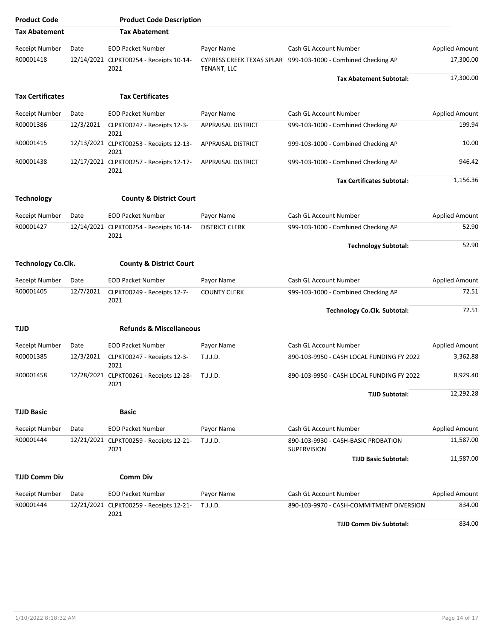| <b>Product Code</b>       |           | <b>Product Code Description</b>                          |                       |                                                               |                       |
|---------------------------|-----------|----------------------------------------------------------|-----------------------|---------------------------------------------------------------|-----------------------|
| <b>Tax Abatement</b>      |           | <b>Tax Abatement</b>                                     |                       |                                                               |                       |
| <b>Receipt Number</b>     | Date      | <b>EOD Packet Number</b>                                 | Payor Name            | Cash GL Account Number                                        | <b>Applied Amount</b> |
| R00001418                 |           | 12/14/2021 CLPKT00254 - Receipts 10-14-<br>2021          | TENANT, LLC           | CYPRESS CREEK TEXAS SPLAR 999-103-1000 - Combined Checking AP | 17,300.00             |
|                           |           |                                                          |                       | <b>Tax Abatement Subtotal:</b>                                | 17,300.00             |
| <b>Tax Certificates</b>   |           | <b>Tax Certificates</b>                                  |                       |                                                               |                       |
| <b>Receipt Number</b>     | Date      | <b>EOD Packet Number</b>                                 | Payor Name            | Cash GL Account Number                                        | <b>Applied Amount</b> |
| R00001386                 | 12/3/2021 | CLPKT00247 - Receipts 12-3-<br>2021                      | APPRAISAL DISTRICT    | 999-103-1000 - Combined Checking AP                           | 199.94                |
| R00001415                 |           | 12/13/2021 CLPKT00253 - Receipts 12-13-<br>2021          | APPRAISAL DISTRICT    | 999-103-1000 - Combined Checking AP                           | 10.00                 |
| R00001438                 |           | 12/17/2021 CLPKT00257 - Receipts 12-17-<br>2021          | APPRAISAL DISTRICT    | 999-103-1000 - Combined Checking AP                           | 946.42                |
|                           |           |                                                          |                       | <b>Tax Certificates Subtotal:</b>                             | 1,156.36              |
| <b>Technology</b>         |           | <b>County &amp; District Court</b>                       |                       |                                                               |                       |
| <b>Receipt Number</b>     | Date      | <b>EOD Packet Number</b>                                 | Payor Name            | Cash GL Account Number                                        | <b>Applied Amount</b> |
| R00001427                 |           | 12/14/2021 CLPKT00254 - Receipts 10-14-<br>2021          | <b>DISTRICT CLERK</b> | 999-103-1000 - Combined Checking AP                           | 52.90                 |
|                           |           |                                                          |                       | <b>Technology Subtotal:</b>                                   | 52.90                 |
| <b>Technology Co.Clk.</b> |           | <b>County &amp; District Court</b>                       |                       |                                                               |                       |
| <b>Receipt Number</b>     | Date      | <b>EOD Packet Number</b>                                 | Payor Name            | Cash GL Account Number                                        | Applied Amount        |
| R00001405                 | 12/7/2021 | CLPKT00249 - Receipts 12-7-<br>2021                      | <b>COUNTY CLERK</b>   | 999-103-1000 - Combined Checking AP                           | 72.51                 |
|                           |           |                                                          |                       | <b>Technology Co.Clk. Subtotal:</b>                           | 72.51                 |
| TJJD                      |           | <b>Refunds &amp; Miscellaneous</b>                       |                       |                                                               |                       |
| <b>Receipt Number</b>     | Date      | <b>EOD Packet Number</b>                                 | Payor Name            | Cash GL Account Number                                        | Applied Amount        |
| R00001385                 | 12/3/2021 | CLPKT00247 - Receipts 12-3-<br>2021                      | T.J.J.D.              | 890-103-9950 - CASH LOCAL FUNDING FY 2022                     | 3,362.88              |
| R00001458                 |           | 12/28/2021 CLPKT00261 - Receipts 12-28- T.J.J.D.<br>2021 |                       | 890-103-9950 - CASH LOCAL FUNDING FY 2022                     | 8,929.40              |
|                           |           |                                                          |                       | <b>TJJD Subtotal:</b>                                         | 12,292.28             |
| <b>TJJD Basic</b>         |           | <b>Basic</b>                                             |                       |                                                               |                       |
| Receipt Number            | Date      | <b>EOD Packet Number</b>                                 | Payor Name            | Cash GL Account Number                                        | Applied Amount        |
| R00001444                 |           | 12/21/2021 CLPKT00259 - Receipts 12-21-<br>2021          | T.J.J.D.              | 890-103-9930 - CASH-BASIC PROBATION<br>SUPERVISION            | 11,587.00             |
|                           |           |                                                          |                       | <b>TJJD Basic Subtotal:</b>                                   | 11,587.00             |
| <b>TJJD Comm Div</b>      |           | <b>Comm Div</b>                                          |                       |                                                               |                       |
| <b>Receipt Number</b>     | Date      | <b>EOD Packet Number</b>                                 | Payor Name            | Cash GL Account Number                                        | <b>Applied Amount</b> |
| R00001444                 |           | 12/21/2021 CLPKT00259 - Receipts 12-21-<br>2021          | T.J.J.D.              | 890-103-9970 - CASH-COMMITMENT DIVERSION                      | 834.00                |
|                           |           |                                                          |                       | <b>TJJD Comm Div Subtotal:</b>                                | 834.00                |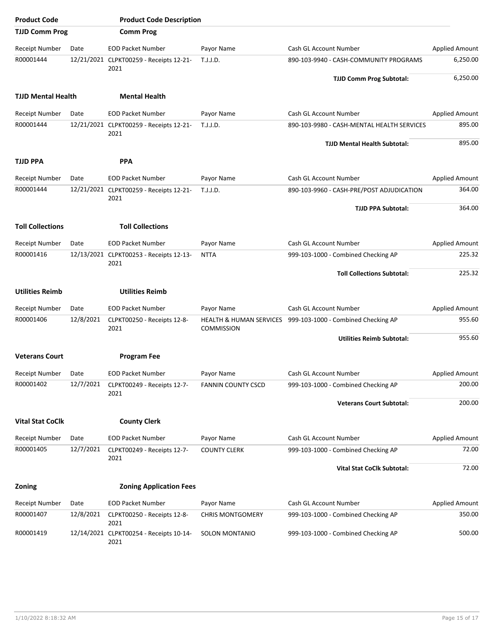| <b>Product Code</b>       |           | <b>Product Code Description</b>                 |                                                         |                                           |                       |
|---------------------------|-----------|-------------------------------------------------|---------------------------------------------------------|-------------------------------------------|-----------------------|
| <b>TJJD Comm Prog</b>     |           | <b>Comm Prog</b>                                |                                                         |                                           |                       |
| <b>Receipt Number</b>     | Date      | <b>EOD Packet Number</b>                        | Payor Name                                              | Cash GL Account Number                    | <b>Applied Amount</b> |
| R00001444                 |           | 12/21/2021 CLPKT00259 - Receipts 12-21-<br>2021 | T.J.J.D.                                                | 890-103-9940 - CASH-COMMUNITY PROGRAMS    | 6,250.00              |
|                           |           |                                                 |                                                         | <b>TJJD Comm Prog Subtotal:</b>           | 6,250.00              |
| <b>TJJD Mental Health</b> |           | <b>Mental Health</b>                            |                                                         |                                           |                       |
| <b>Receipt Number</b>     | Date      | <b>EOD Packet Number</b>                        | Payor Name                                              | Cash GL Account Number                    |                       |
| R00001444                 |           | 12/21/2021 CLPKT00259 - Receipts 12-21-<br>2021 | 890-103-9980 - CASH-MENTAL HEALTH SERVICES<br>T.J.J.D.  |                                           | 895.00                |
|                           |           |                                                 |                                                         | <b>TJJD Mental Health Subtotal:</b>       | 895.00                |
| <b>TJJD PPA</b>           |           | <b>PPA</b>                                      |                                                         |                                           |                       |
| <b>Receipt Number</b>     | Date      | <b>EOD Packet Number</b>                        | Payor Name                                              | Cash GL Account Number                    | <b>Applied Amount</b> |
| R00001444                 |           | 12/21/2021 CLPKT00259 - Receipts 12-21-<br>2021 | T.J.J.D.                                                | 890-103-9960 - CASH-PRE/POST ADJUDICATION | 364.00                |
|                           |           |                                                 |                                                         | <b>TJJD PPA Subtotal:</b>                 | 364.00                |
| <b>Toll Collections</b>   |           | <b>Toll Collections</b>                         |                                                         |                                           |                       |
| Receipt Number            | Date      | <b>EOD Packet Number</b>                        | Payor Name                                              | Cash GL Account Number                    | Applied Amount        |
| R00001416                 |           | 12/13/2021 CLPKT00253 - Receipts 12-13-<br>2021 | <b>NTTA</b>                                             | 999-103-1000 - Combined Checking AP       |                       |
|                           |           |                                                 |                                                         | <b>Toll Collections Subtotal:</b>         | 225.32                |
| <b>Utilities Reimb</b>    |           | <b>Utilities Reimb</b>                          |                                                         |                                           |                       |
| <b>Receipt Number</b>     | Date      | <b>EOD Packet Number</b>                        | Payor Name                                              | Cash GL Account Number                    | <b>Applied Amount</b> |
| R00001406                 | 12/8/2021 | CLPKT00250 - Receipts 12-8-<br>2021             | <b>HEALTH &amp; HUMAN SERVICES</b><br><b>COMMISSION</b> | 999-103-1000 - Combined Checking AP       | 955.60                |
|                           |           |                                                 |                                                         | <b>Utilities Reimb Subtotal:</b>          | 955.60                |
| <b>Veterans Court</b>     |           | <b>Program Fee</b>                              |                                                         |                                           |                       |
| Receipt Number            | Date      | <b>EOD Packet Number</b>                        | Payor Name                                              | Cash GL Account Number                    | <b>Applied Amount</b> |
| R00001402                 | 12/7/2021 | CLPKT00249 - Receipts 12-7-<br>2021             | <b>FANNIN COUNTY CSCD</b>                               | 999-103-1000 - Combined Checking AP       | 200.00                |
|                           |           |                                                 |                                                         | <b>Veterans Court Subtotal:</b>           | 200.00                |
| <b>Vital Stat CoClk</b>   |           | <b>County Clerk</b>                             |                                                         |                                           |                       |
| <b>Receipt Number</b>     | Date      | <b>EOD Packet Number</b>                        | Payor Name                                              | Cash GL Account Number                    | Applied Amount        |
| R00001405                 | 12/7/2021 | CLPKT00249 - Receipts 12-7-                     | <b>COUNTY CLERK</b>                                     | 999-103-1000 - Combined Checking AP       | 72.00                 |
|                           |           | 2021                                            |                                                         | <b>Vital Stat CoClk Subtotal:</b>         | 72.00                 |
|                           |           |                                                 |                                                         |                                           |                       |
| Zoning                    |           | <b>Zoning Application Fees</b>                  |                                                         |                                           |                       |
| Receipt Number            | Date      | <b>EOD Packet Number</b>                        | Payor Name                                              | Cash GL Account Number                    | Applied Amount        |
| R00001407                 | 12/8/2021 | CLPKT00250 - Receipts 12-8-<br>2021             | <b>CHRIS MONTGOMERY</b>                                 | 999-103-1000 - Combined Checking AP       | 350.00                |
| R00001419                 |           | 12/14/2021 CLPKT00254 - Receipts 10-14-<br>2021 | SOLON MONTANIO                                          | 999-103-1000 - Combined Checking AP       | 500.00                |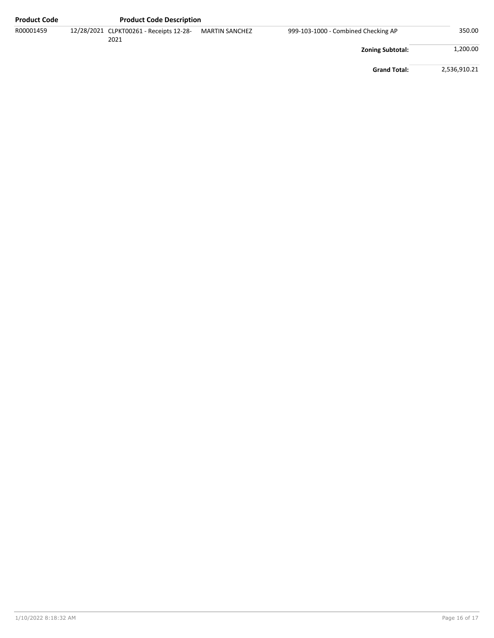| <b>Product Code</b> | <b>Product Code Description</b>                 |                       |                                     |                         |              |
|---------------------|-------------------------------------------------|-----------------------|-------------------------------------|-------------------------|--------------|
| R00001459           | 12/28/2021 CLPKT00261 - Receipts 12-28-<br>2021 | <b>MARTIN SANCHEZ</b> | 999-103-1000 - Combined Checking AP |                         | 350.00       |
|                     |                                                 |                       |                                     | <b>Zoning Subtotal:</b> | 1,200.00     |
|                     |                                                 |                       |                                     | <b>Grand Total:</b>     | 2,536,910.21 |